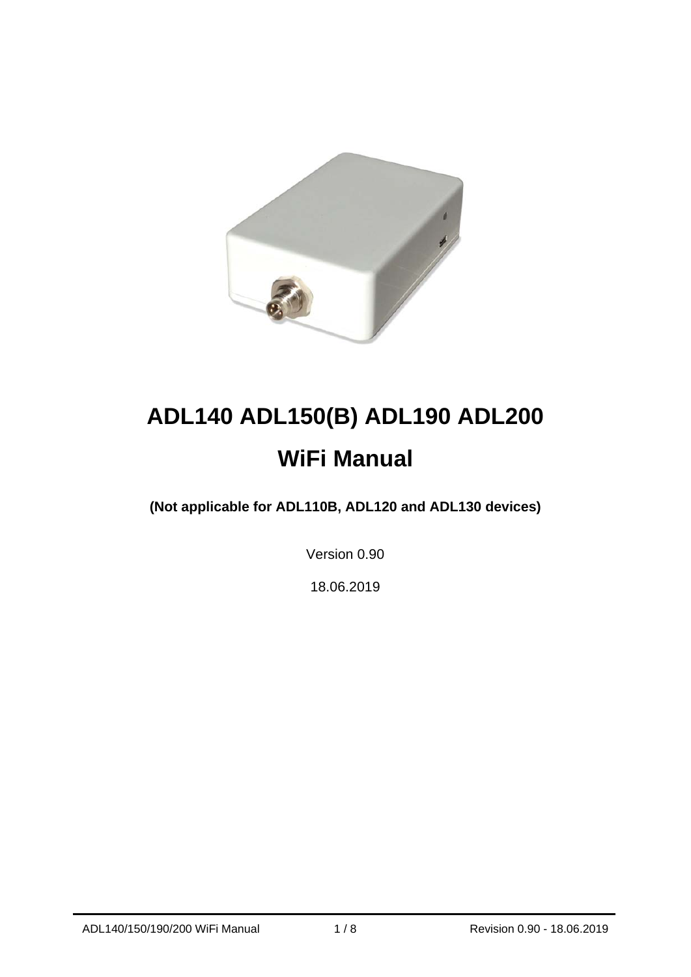

# **ADL140 ADL150(B) ADL190 ADL200 WiFi Manual**

**(Not applicable for ADL110B, ADL120 and ADL130 devices)** 

Version 0.90

18.06.2019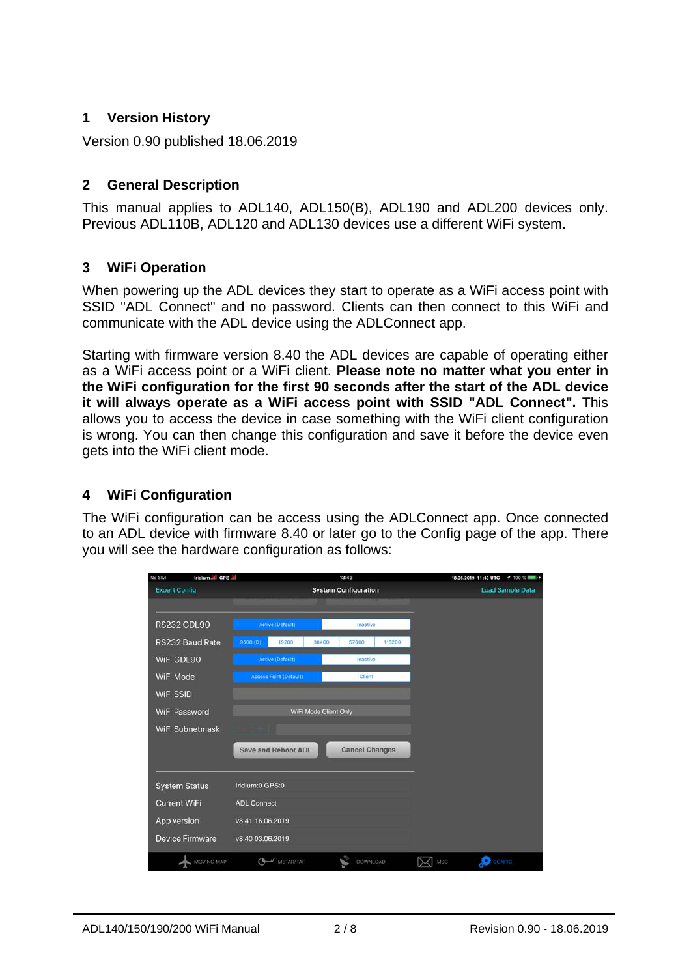# **1 Version History**

Version 0.90 published 18.06.2019

#### **2 General Description**

This manual applies to ADL140, ADL150(B), ADL190 and ADL200 devices only. Previous ADL110B, ADL120 and ADL130 devices use a different WiFi system.

# **3 WiFi Operation**

When powering up the ADL devices they start to operate as a WiFi access point with SSID "ADL Connect" and no password. Clients can then connect to this WiFi and communicate with the ADL device using the ADLConnect app.

Starting with firmware version 8.40 the ADL devices are capable of operating either as a WiFi access point or a WiFi client. **Please note no matter what you enter in the WiFi configuration for the first 90 seconds after the start of the ADL device it will always operate as a WiFi access point with SSID "ADL Connect".** This allows you to access the device in case something with the WiFi client configuration is wrong. You can then change this configuration and save it before the device even gets into the WiFi client mode.

# **4 WiFi Configuration**

The WiFi configuration can be access using the ADLConnect app. Once connected to an ADL device with firmware 8.40 or later go to the Config page of the app. There you will see the hardware configuration as follows:

| Iridium all GPS all<br>No SIM |                               | 13:43                       | 4100%<br>18.06.2019 11:43 UTC |
|-------------------------------|-------------------------------|-----------------------------|-------------------------------|
| <b>Expert Config</b>          |                               | <b>System Configuration</b> | <b>Load Sample Data</b>       |
|                               |                               |                             |                               |
| <b>RS232 GDL90</b>            | <b>Active (Default)</b>       | Inactive                    |                               |
| RS232 Baud Rate               | 9600 (D)<br>19200<br>38400    | 115200<br>57600             |                               |
| WiFi GDL90                    | <b>Active (Default)</b>       | Inactive                    |                               |
| WiFi Mode                     | <b>Access Point (Default)</b> | Client                      |                               |
| <b>WiFi SSID</b>              |                               |                             |                               |
| WiFi Password                 | WiFi Mode Client Only         |                             |                               |
| <b>WiFi Subnetmask</b>        |                               |                             |                               |
|                               | <b>Save and Reboot ADL</b>    | <b>Cancel Changes</b>       |                               |
|                               |                               |                             |                               |
| <b>System Status</b>          | Iridium:0 GPS:0               |                             |                               |
| <b>Current WiFi</b>           | <b>ADL Connect</b>            |                             |                               |
| App version                   | v8.41 16.06.2019              |                             |                               |
| <b>Device Firmware</b>        | v8.40 03.06.2019              |                             |                               |
| MOVING MAP                    | $\bigcirc$<br>$\mu$ METAR/TAF | DOWNLOAD                    | <b>O</b> CONFIG<br>MSG        |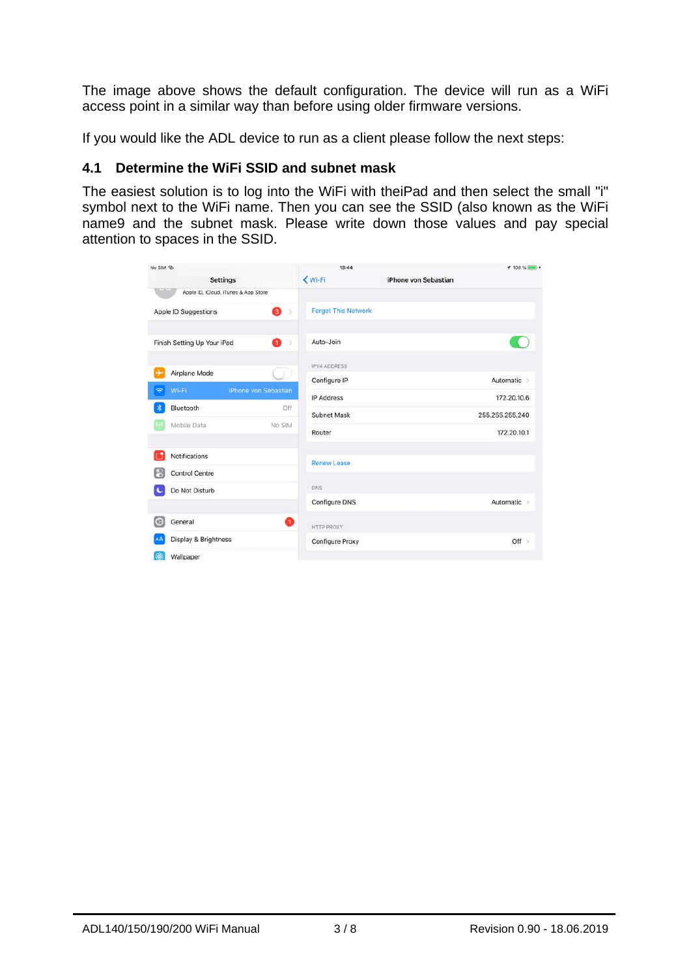The image above shows the default configuration. The device will run as a WiFi access point in a similar way than before using older firmware versions.

If you would like the ADL device to run as a client please follow the next steps:

### **4.1 Determine the WiFi SSID and subnet mask**

The easiest solution is to log into the WiFi with theiPad and then select the small "i" symbol next to the WiFi name. Then you can see the SSID (also known as the WiFi name9 and the subnet mask. Please write down those values and pay special attention to spaces in the SSID.

| No SIM ®                         |                                      | 13:44                      |                      | <b>1 100 % DOM: 1</b> |
|----------------------------------|--------------------------------------|----------------------------|----------------------|-----------------------|
|                                  | <b>Settings</b>                      | Wi-Fi                      | iPhone von Sebastian |                       |
|                                  | Apple ID, iCloud, iTunes & App Store |                            |                      |                       |
| Apple ID Suggestions             | 3<br>$\mathcal{S}$                   | <b>Forget This Network</b> |                      |                       |
| Finish Setting Up Your iPad      | o<br>b.                              | Auto-Join                  |                      |                       |
| Airplane Mode                    |                                      | <b>IPV4 ADDRESS</b>        |                      |                       |
| $\widehat{\mathcal{P}}$<br>Wi-Fi | iPhone von Sebastian                 | Configure IP               |                      | Automatic >           |
| 宋<br>Bluetooth                   | Off                                  | <b>IP Address</b>          |                      | 172.20.10.6           |
|                                  |                                      | Subnet Mask                |                      | 255.255.255.240       |
| Mobile Data                      | No SIM                               | Router                     |                      | 172.20.10.1           |
| Notifications                    |                                      | <b>Renew Lease</b>         |                      |                       |
| <b>Control Centre</b>            |                                      |                            |                      |                       |
| Do Not Disturb                   |                                      | <b>DNS</b>                 |                      |                       |
|                                  |                                      | Configure DNS              |                      | Automatic >           |
| $\mathbb{C}$<br>General          | Ω                                    | <b>HTTP PROXY</b>          |                      |                       |
| Display & Brightness<br>ΑA       |                                      | Configure Proxy            |                      | Off                   |
| 粥<br>Wallpaper                   |                                      |                            |                      |                       |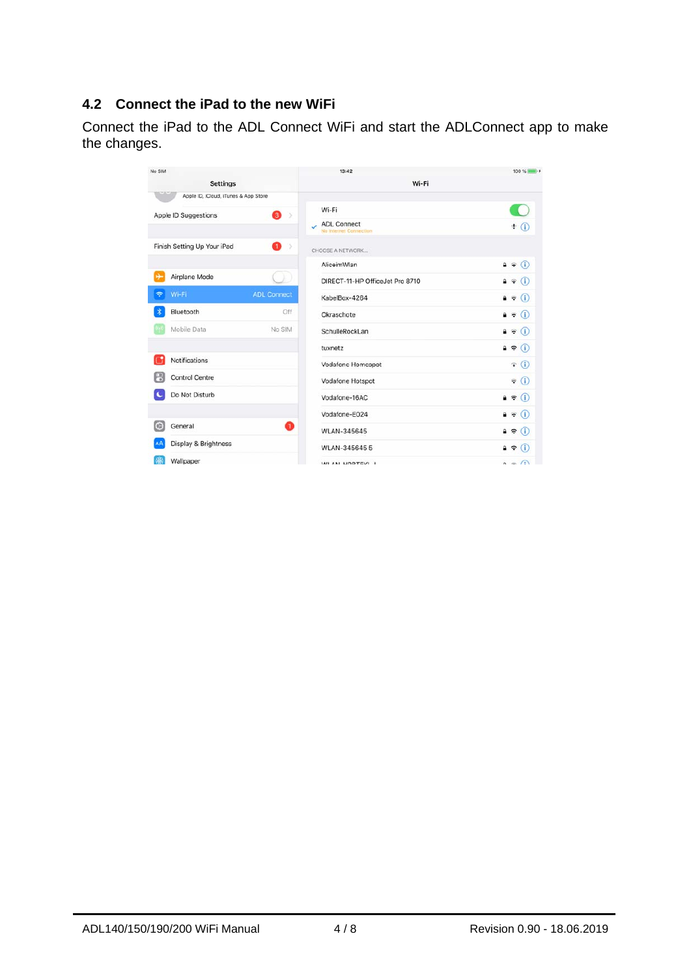# **4.2 Connect the iPad to the new WiFi**

Connect the iPad to the ADL Connect WiFi and start the ADLConnect app to make the changes.

| No SIM                               |                    | 13:42                                        | 100 % <b>IMM</b>           |
|--------------------------------------|--------------------|----------------------------------------------|----------------------------|
| <b>Settings</b>                      |                    | Wi-Fi                                        |                            |
| Apple ID, iCloud, iTunes & App Store |                    |                                              |                            |
| Apple ID Suggestions                 | 8 >                | Wi-Fi                                        | С.                         |
|                                      |                    | <b>ADL Connect</b><br>la Internet Connection | $\pm$ (i)                  |
| Finish Setting Up Your iPad          | Ω<br>$\geq$        | CHOOSE A NETWORK                             |                            |
|                                      |                    | AliceimWlan                                  | $a \in (i)$                |
| ⊬<br>Airplane Mode                   |                    | DIRECT-11-HP OfficeJet Pro 8710              | $A \in (i)$                |
| $\tilde{\mathcal{P}}$<br>Wi-Fi       | <b>ADL Connect</b> | KabelBox-4264                                | $a \in (i)$                |
| Bluetooth                            | Off                | Okraschote                                   | $a \in (i)$                |
| Mobile Data                          | No SIM             | SchulleRockLan                               | $\bullet \in (i)$          |
|                                      |                    | tuxnetz                                      | $\bullet \in (i)$          |
| Notifications                        |                    | Vodafone Homespot                            | $\widehat{\mathbf{r}}$ (i) |
| R<br><b>Control Centre</b>           |                    | Vodafone Hotspot                             | $\widehat{\bullet}$ (i)    |
| Do Not Disturb                       |                    | Vodafone-16AC                                | $a \in (i)$                |
|                                      |                    | Vodafone-E024                                | $\mathbf{a} \in (i)$       |
| $\omega$<br>General                  | Q                  | <b>WLAN-345645</b>                           | $a \in (i)$                |
| Display & Brightness                 |                    | WLAN-3456455                                 | $\bullet \in (i)$          |
| Wallpaper                            |                    | WI AN HODTEVI I                              | $\Omega = \Omega$          |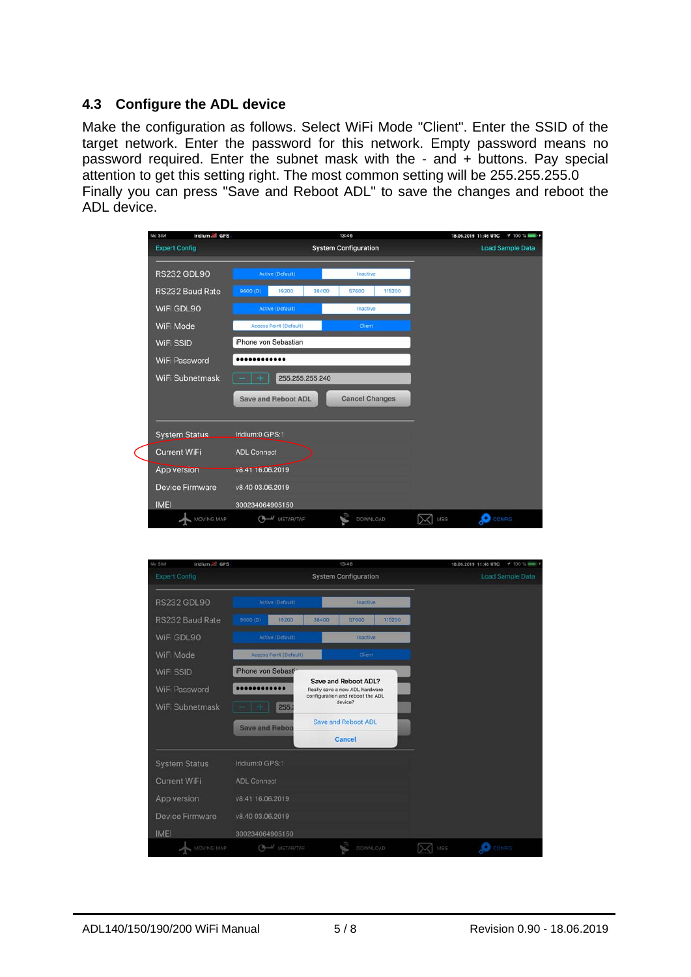#### **4.3 Configure the ADL device**

Make the configuration as follows. Select WiFi Mode "Client". Enter the SSID of the target network. Enter the password for this network. Empty password means no password required. Enter the subnet mask with the - and + buttons. Pay special attention to get this setting right. The most common setting will be 255.255.255.0 Finally you can press "Save and Reboot ADL" to save the changes and reboot the ADL device.

| Iridium all GPS<br>No SIM |                               | 13:46                       | $4100$ %<br>18.06.2019 11:46 UTC |
|---------------------------|-------------------------------|-----------------------------|----------------------------------|
| <b>Expert Config</b>      |                               | <b>System Configuration</b> | <b>Load Sample Data</b>          |
| <b>RS232 GDL90</b>        | <b>Active (Default)</b>       | Inactive                    |                                  |
| RS232 Baud Rate           | 9600 (D)<br>19200             | 38400<br>115200<br>57600    |                                  |
| WiFi GDL90                | <b>Active (Default)</b>       | Inactive                    |                                  |
| WiFi Mode                 | <b>Access Point (Default)</b> | Client                      |                                  |
| WiFi SSID                 | iPhone von Sebastian          |                             |                                  |
| <b>WiFi Password</b>      |                               |                             |                                  |
| WiFi Subnetmask           | 255.255.255.240               |                             |                                  |
|                           | <b>Save and Reboot ADL</b>    | <b>Cancel Changes</b>       |                                  |
| <b>System Status</b>      | Iridium:0 GPS:1               |                             |                                  |
| <b>Current WiFi</b>       | <b>ADL Connect</b>            |                             |                                  |
| App version               | v8.41 16.06.2019              |                             |                                  |
| <b>Device Firmware</b>    | v8.40 03.06.2019              |                             |                                  |
| <b>IMEI</b>               | 300234064905150               |                             |                                  |
| MOVING MAP                | CA METAR/TAF                  | DOWNLOAD                    | <b>CONFIG</b><br>MSG             |

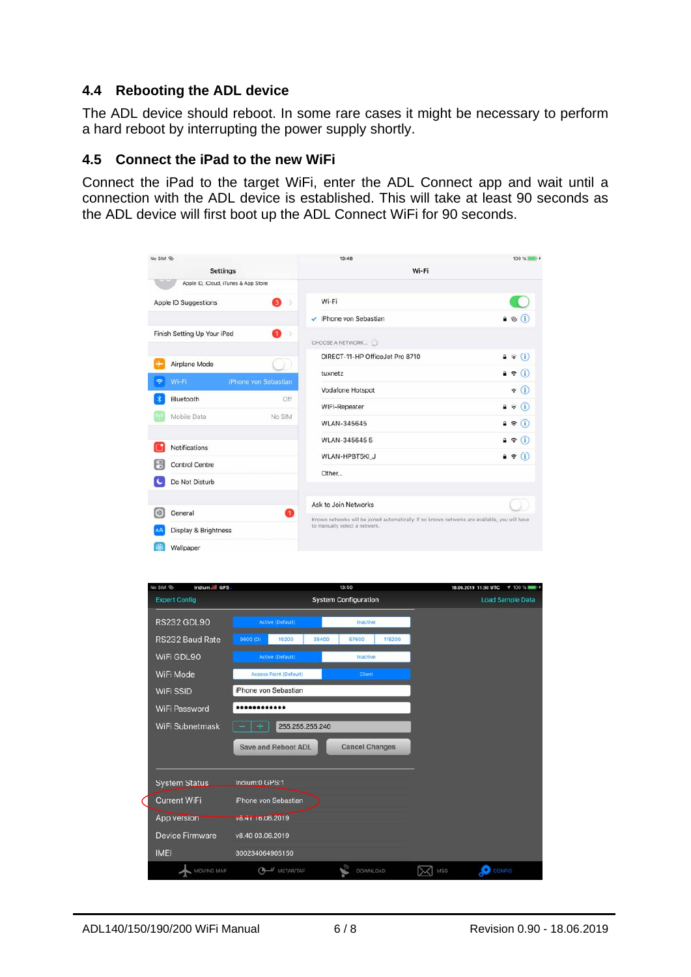#### **4.4 Rebooting the ADL device**

The ADL device should reboot. In some rare cases it might be necessary to perform a hard reboot by interrupting the power supply shortly.

#### **4.5 Connect the iPad to the new WiFi**

Connect the iPad to the target WiFi, enter the ADL Connect app and wait until a connection with the ADL device is established. This will take at least 90 seconds as the ADL device will first boot up the ADL Connect WiFi for 90 seconds.

| No SIM ®                         |                                      | 13:48                                                                                                                           | 100 % <b>IMMI</b>          |  |
|----------------------------------|--------------------------------------|---------------------------------------------------------------------------------------------------------------------------------|----------------------------|--|
| <b>Settings</b>                  |                                      | Wi-Fi                                                                                                                           |                            |  |
|                                  | Apple ID, iCloud, iTunes & App Store |                                                                                                                                 |                            |  |
| Apple ID Suggestions             | 3<br>- 5                             | Wi-Fi                                                                                                                           |                            |  |
|                                  |                                      | v iPhone von Sebastian                                                                                                          | $a \otimes (i)$            |  |
| Finish Setting Up Your iPad      | O<br>- 3                             | CHOOSE A NETWORK                                                                                                                |                            |  |
| Airplane Mode                    |                                      | DIRECT-11-HP OfficeJet Pro 8710                                                                                                 | $\bullet \in (i)$          |  |
| $\widehat{\mathcal{P}}$<br>Wi-Fi | iPhone von Sebastian                 | tuxnetz                                                                                                                         | $\mathbf{a} \in (i)$       |  |
|                                  |                                      | Vodafone Hotspot                                                                                                                | $\widehat{\mathbf{v}}$ (i) |  |
| Bluetooth                        | Off                                  | WIFI-Repeater                                                                                                                   | $\mathbf{a} \in (i)$       |  |
| Mobile Data                      | No SIM                               | WLAN-345645                                                                                                                     | $\bullet \in (i)$          |  |
| Notifications                    |                                      | WLAN-345645 5                                                                                                                   | $a \in (i)$                |  |
| <b>Control Centre</b>            |                                      | WLAN-HPBT5KI J                                                                                                                  | $a \in (i)$                |  |
|                                  |                                      | Other                                                                                                                           |                            |  |
| Do Not Disturb                   |                                      |                                                                                                                                 |                            |  |
| ω<br>General                     | Ω                                    | Ask to Join Networks                                                                                                            |                            |  |
| Display & Brightness             |                                      | Known networks will be joined automatically. If no known networks are available, you will have<br>to manually select a network. |                            |  |
|                                  |                                      |                                                                                                                                 |                            |  |
| Wallpaper                        |                                      |                                                                                                                                 |                            |  |

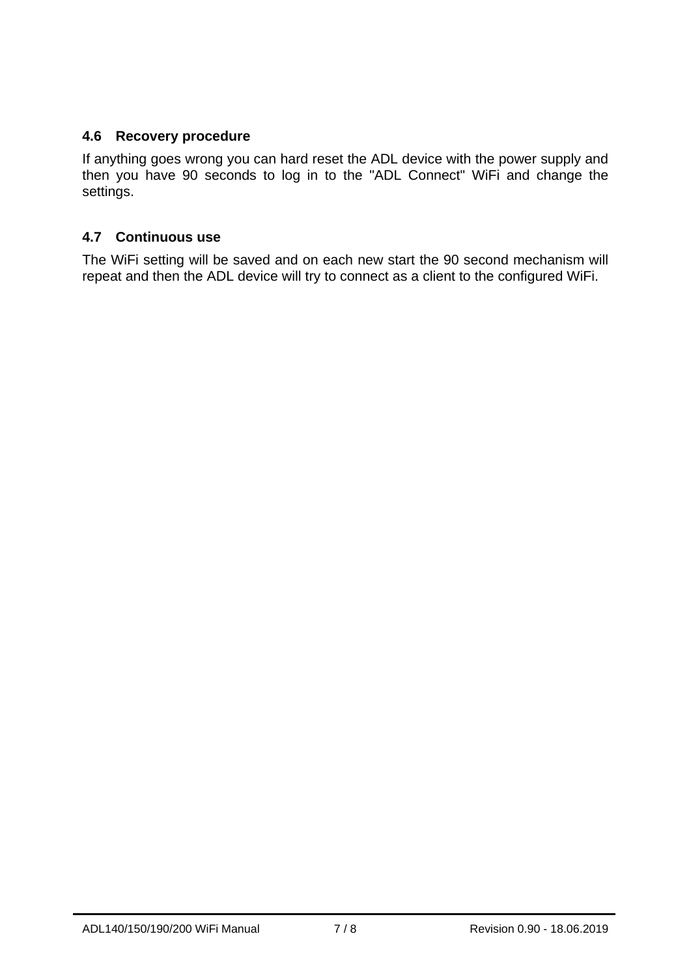# **4.6 Recovery procedure**

If anything goes wrong you can hard reset the ADL device with the power supply and then you have 90 seconds to log in to the "ADL Connect" WiFi and change the settings.

### **4.7 Continuous use**

The WiFi setting will be saved and on each new start the 90 second mechanism will repeat and then the ADL device will try to connect as a client to the configured WiFi.